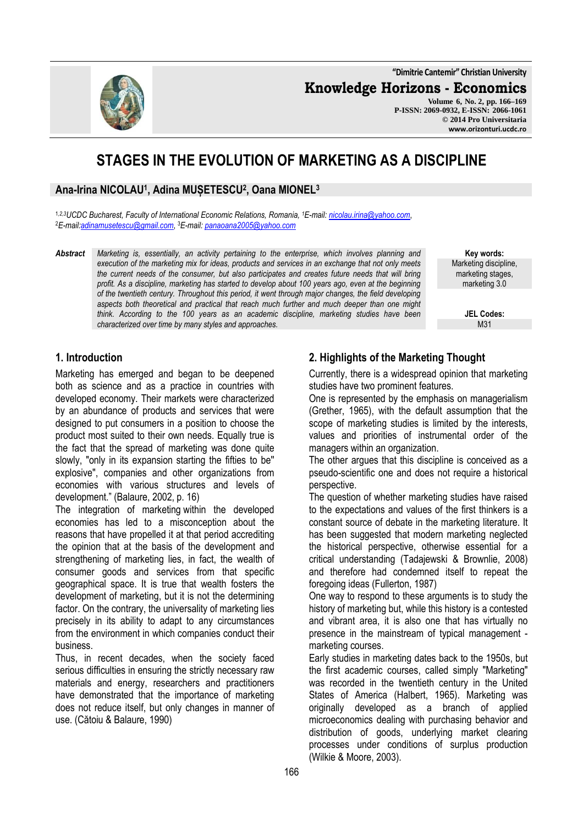**"Dimitrie Cantemir" Christian University**

**Knowledge Horizons - Economics**

**Volume 6, No. 2, pp. 166–169 P-ISSN: 2069-0932, E-ISSN: 2066-1061 © 2014 Pro Universitaria www.orizonturi.ucdc.ro**

# **STAGES IN THE EVOLUTION OF MARKETING AS A DISCIPLINE**

## **Ana-Irina NICOLAU<sup>1</sup> , Adina MUȘETESCU<sup>2</sup> , Oana MIONEL<sup>3</sup>**

<sup>1</sup>*,2,3UCDC Bucharest, Faculty of International Economic Relations, Romania, <sup>1</sup>E-mail: nicolau.irina@yahoo.com*, <sup>2</sup>*E-mail:adinamusetescu@gmail.com*, <sup>3</sup>*E-mail: panaoana2005@yahoo.com*

*Abstract Marketing is, essentially, an activity pertaining to the enterprise, which involves planning and execution of the marketing mix for ideas, products and services in an exchange that not only meets the current needs of the consumer, but also participates and creates future needs that will bring profit. As a discipline, marketing has started to develop about 100 years ago, even at the beginning of the twentieth century. Throughout this period, it went through major changes, the field developing aspects both theoretical and practical that reach much further and much deeper than one might think. According to the 100 years as an academic discipline, marketing studies have been characterized over time by many styles and approaches.* 

**Key words:** Marketing discipline, marketing stages, marketing 3.0

> **JEL Codes:** M31

#### **1. Introduction**

Marketing has emerged and began to be deepened both as science and as a practice in countries with developed economy. Their markets were characterized by an abundance of products and services that were designed to put consumers in a position to choose the product most suited to their own needs. Equally true is the fact that the spread of marketing was done quite slowly, "only in its expansion starting the fifties to be'' explosive'', companies and other organizations from economies with various structures and levels of development." (Balaure, 2002, p. 16)

The integration of marketing within the developed economies has led to a misconception about the reasons that have propelled it at that period accrediting the opinion that at the basis of the development and strengthening of marketing lies, in fact, the wealth of consumer goods and services from that specific geographical space. It is true that wealth fosters the development of marketing, but it is not the determining factor. On the contrary, the universality of marketing lies precisely in its ability to adapt to any circumstances from the environment in which companies conduct their business.

Thus, in recent decades, when the society faced serious difficulties in ensuring the strictly necessary raw materials and energy, researchers and practitioners have demonstrated that the importance of marketing does not reduce itself, but only changes in manner of use. (Cătoiu & Balaure, 1990)

#### **2. Highlights of the Marketing Thought**

Currently, there is a widespread opinion that marketing studies have two prominent features.

One is represented by the emphasis on managerialism (Grether, 1965), with the default assumption that the scope of marketing studies is limited by the interests, values and priorities of instrumental order of the managers within an organization.

The other argues that this discipline is conceived as a pseudo-scientific one and does not require a historical perspective.

The question of whether marketing studies have raised to the expectations and values of the first thinkers is a constant source of debate in the marketing literature. It has been suggested that modern marketing neglected the historical perspective, otherwise essential for a critical understanding (Tadajewski & Brownlie, 2008) and therefore had condemned itself to repeat the foregoing ideas (Fullerton, 1987)

One way to respond to these arguments is to study the history of marketing but, while this history is a contested and vibrant area, it is also one that has virtually no presence in the mainstream of typical management marketing courses.

Early studies in marketing dates back to the 1950s, but the first academic courses, called simply "Marketing" was recorded in the twentieth century in the United States of America (Halbert, 1965). Marketing was originally developed as a branch of applied microeconomics dealing with purchasing behavior and distribution of goods, underlying market clearing processes under conditions of surplus production (Wilkie & Moore, 2003).

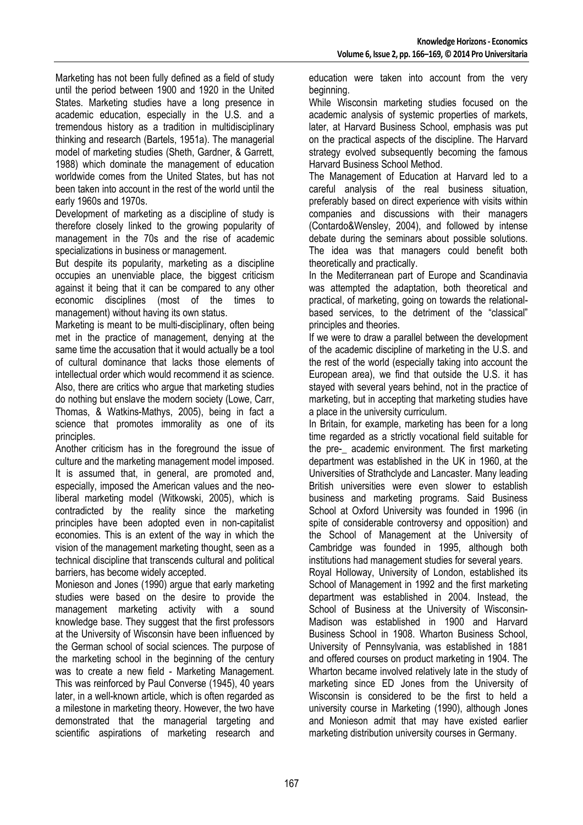Marketing has not been fully defined as a field of study until the period between 1900 and 1920 in the United States. Marketing studies have a long presence in academic education, especially in the U.S. and a tremendous history as a tradition in multidisciplinary thinking and research (Bartels, 1951a). The managerial model of marketing studies (Sheth, Gardner, & Garrett, 1988) which dominate the management of education worldwide comes from the United States, but has not been taken into account in the rest of the world until the early 1960s and 1970s.

Development of marketing as a discipline of study is therefore closely linked to the growing popularity of management in the 70s and the rise of academic specializations in business or management.

But despite its popularity, marketing as a discipline occupies an unenviable place, the biggest criticism against it being that it can be compared to any other economic disciplines (most of the times to management) without having its own status.

Marketing is meant to be multi-disciplinary, often being met in the practice of management, denying at the same time the accusation that it would actually be a tool of cultural dominance that lacks those elements of intellectual order which would recommend it as science. Also, there are critics who argue that marketing studies do nothing but enslave the modern society (Lowe, Carr, Thomas, & Watkins-Mathys, 2005), being in fact a science that promotes immorality as one of its principles.

Another criticism has in the foreground the issue of culture and the marketing management model imposed. It is assumed that, in general, are promoted and, especially, imposed the American values and the neoliberal marketing model (Witkowski, 2005), which is contradicted by the reality since the marketing principles have been adopted even in non-capitalist economies. This is an extent of the way in which the vision of the management marketing thought, seen as a technical discipline that transcends cultural and political barriers, has become widely accepted.

Monieson and Jones (1990) argue that early marketing studies were based on the desire to provide the management marketing activity with a sound knowledge base. They suggest that the first professors at the University of Wisconsin have been influenced by the German school of social sciences. The purpose of the marketing school in the beginning of the century was to create a new field - Marketing Management. This was reinforced by Paul Converse (1945), 40 years later, in a well-known article, which is often regarded as a milestone in marketing theory. However, the two have demonstrated that the managerial targeting and scientific aspirations of marketing research and

education were taken into account from the very beginning.

While Wisconsin marketing studies focused on the academic analysis of systemic properties of markets, later, at Harvard Business School, emphasis was put on the practical aspects of the discipline. The Harvard strategy evolved subsequently becoming the famous Harvard Business School Method.

The Management of Education at Harvard led to a careful analysis of the real business situation, preferably based on direct experience with visits within companies and discussions with their managers (Contardo&Wensley, 2004), and followed by intense debate during the seminars about possible solutions. The idea was that managers could benefit both theoretically and practically.

In the Mediterranean part of Europe and Scandinavia was attempted the adaptation, both theoretical and practical, of marketing, going on towards the relationalbased services, to the detriment of the "classical" principles and theories.

If we were to draw a parallel between the development of the academic discipline of marketing in the U.S. and the rest of the world (especially taking into account the European area), we find that outside the U.S. it has stayed with several years behind, not in the practice of marketing, but in accepting that marketing studies have a place in the university curriculum.

In Britain, for example, marketing has been for a long time regarded as a strictly vocational field suitable for the pre-\_ academic environment. The first marketing department was established in the UK in 1960, at the Universities of Strathclyde and Lancaster. Many leading British universities were even slower to establish business and marketing programs. Said Business School at Oxford University was founded in 1996 (in spite of considerable controversy and opposition) and the School of Management at the University of Cambridge was founded in 1995, although both institutions had management studies for several years.

Royal Holloway, University of London, established its School of Management in 1992 and the first marketing department was established in 2004. Instead, the School of Business at the University of Wisconsin-Madison was established in 1900 and Harvard Business School in 1908. Wharton Business School, University of Pennsylvania, was established in 1881 and offered courses on product marketing in 1904. The Wharton became involved relatively late in the study of marketing since ED Jones from the University of Wisconsin is considered to be the first to held a university course in Marketing (1990), although Jones and Monieson admit that may have existed earlier marketing distribution university courses in Germany.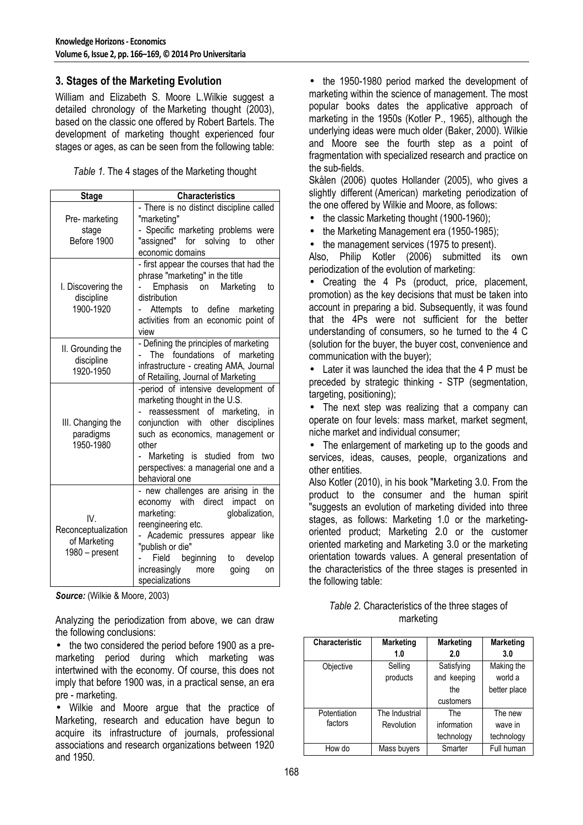## **3. Stages of the Marketing Evolution**

William and Elizabeth S. Moore L. Wilkie suggest a detailed chronology of the Marketing thought (2003), based on the classic one offered by Robert Bartels. The development of marketing thought experienced four stages or ages, as can be seen from the following table:

*Table 1.* The 4 stages of the Marketing thought

| <b>Stage</b>                                                 | <b>Characteristics</b>                                                                                                                                                                                                                                                                 |  |  |
|--------------------------------------------------------------|----------------------------------------------------------------------------------------------------------------------------------------------------------------------------------------------------------------------------------------------------------------------------------------|--|--|
| Pre- marketing<br>stage<br>Before 1900                       | - There is no distinct discipline called<br>"marketing"<br>- Specific marketing problems were<br>"assigned" for solving<br>to<br>other<br>economic domains                                                                                                                             |  |  |
| I. Discovering the<br>discipline<br>1900-1920                | - first appear the courses that had the<br>phrase "marketing" in the title<br>Emphasis on Marketing<br>to<br>distribution<br>Attempts to define marketing<br>activities from an economic point of<br>view                                                                              |  |  |
| II. Grounding the<br>discipline<br>1920-1950                 | - Defining the principles of marketing<br>The foundations of<br>marketing<br>infrastructure - creating AMA, Journal<br>of Retailing, Journal of Marketing                                                                                                                              |  |  |
| III. Changing the<br>paradigms<br>1950-1980                  | -period of intensive development of<br>marketing thought in the U.S.<br>reassessment of marketing,<br>in<br>conjunction with other disciplines<br>such as economics, management or<br>other<br>Marketing is studied from two<br>perspectives: a managerial one and a<br>behavioral one |  |  |
| IV.<br>Reconceptualization<br>of Marketing<br>1980 - present | - new challenges are arising in the<br>economy with direct<br>impact<br>on<br>marketing:<br>globalization,<br>reengineering etc.<br>Academic pressures appear like<br>"publish or die"<br>Field beginning<br>develop<br>to<br>increasingly<br>more<br>going<br>on<br>specializations   |  |  |

*Source:* (Wilkie & Moore, 2003)

Analyzing the periodization from above, we can draw the following conclusions:

• the two considered the period before 1900 as a premarketing period during which marketing was intertwined with the economy. Of course, this does not imply that before 1900 was, in a practical sense, an era pre - marketing.

• Wilkie and Moore argue that the practice of Marketing, research and education have begun to acquire its infrastructure of journals, professional associations and research organizations between 1920 and 1950.

• the 1950-1980 period marked the development of marketing within the science of management. The most popular books dates the applicative approach of marketing in the 1950s (Kotler P., 1965), although the underlying ideas were much older (Baker, 2000). Wilkie and Moore see the fourth step as a point of fragmentation with specialized research and practice on the sub-fields.

Skålen (2006) quotes Hollander (2005), who gives a slightly different (American) marketing periodization of the one offered by Wilkie and Moore, as follows:

- the classic Marketing thought (1900-1960);
- the Marketing Management era (1950-1985);
- the management services (1975 to present).

Also, Philip Kotler (2006) submitted its own periodization of the evolution of marketing:

• Creating the 4 Ps (product, price, placement, promotion) as the key decisions that must be taken into account in preparing a bid. Subsequently, it was found that the 4Ps were not sufficient for the better understanding of consumers, so he turned to the 4 C (solution for the buyer, the buyer cost, convenience and communication with the buyer);

• Later it was launched the idea that the 4 P must be preceded by strategic thinking - STP (segmentation, targeting, positioning);

• The next step was realizing that a company can operate on four levels: mass market, market segment, niche market and individual consumer;

• The enlargement of marketing up to the goods and services, ideas, causes, people, organizations and other entities.

Also Kotler (2010), in his book "Marketing 3.0. From the product to the consumer and the human spirit "suggests an evolution of marketing divided into three stages, as follows: Marketing 1.0 or the marketingoriented product; Marketing 2.0 or the customer oriented marketing and Marketing 3.0 or the marketing orientation towards values. A general presentation of the characteristics of the three stages is presented in the following table:

| Table 2. Characteristics of the three stages of |  |  |  |  |
|-------------------------------------------------|--|--|--|--|
| marketing                                       |  |  |  |  |

| <b>Characteristic</b> | <b>Marketing</b> | <b>Marketing</b> | <b>Marketing</b> |
|-----------------------|------------------|------------------|------------------|
|                       | 1.0              | 2.0              | 3.0              |
| Objective             | Selling          | Satisfying       | Making the       |
|                       | products         | and keeping      | world a          |
|                       |                  | the              | better place     |
|                       |                  | customers        |                  |
| Potentiation          | The Industrial   | The              | The new          |
| factors               | Revolution       | information      | wave in          |
|                       |                  | technology       | technology       |
| How do                | Mass buyers      | Smarter          | Full human       |